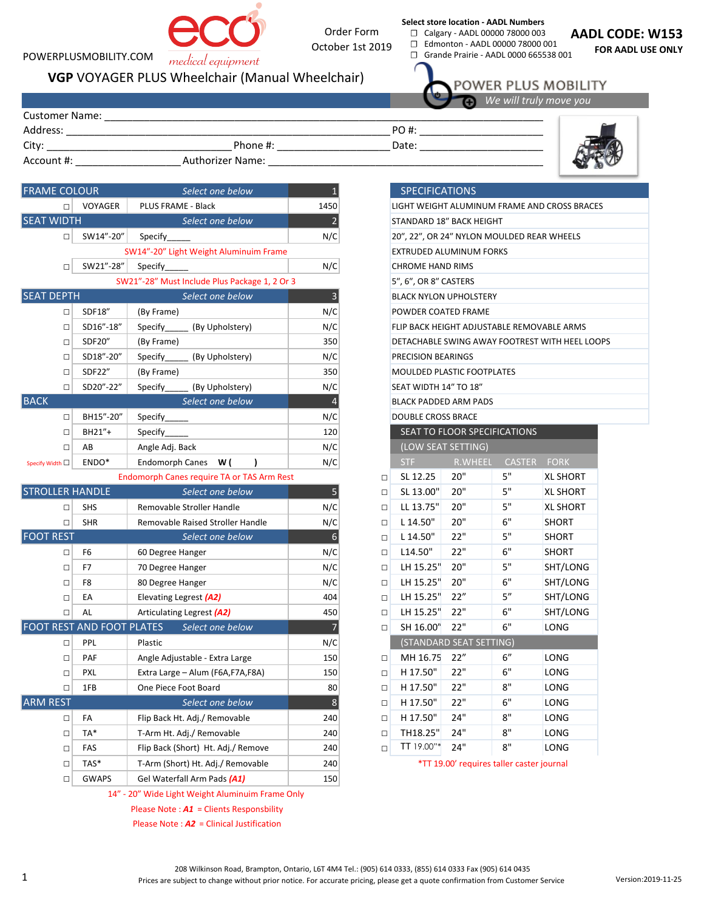## POWERPLUSMOBILITY.COM

Order Form October 1st 2019

**Select store location - AADL Numbers** ☐ Calgary - AADL 00000 78000 003

□ Edmonton - AADL 00000 78000 001<br>□ Grande Prairie - AADL 0000 665538 ☐ Grande Prairie - AADL 0000 665538 001

**AADL CODE: W153**

**FOR AADL USE ONLY**

POWER PLUS MOBILITY *We will truly move you* 

Customer Name: \_\_\_\_\_

Address: \_\_\_\_\_\_\_\_\_\_\_\_\_\_\_\_\_\_\_\_\_\_\_\_\_\_\_\_\_\_\_\_\_\_\_\_\_\_\_\_\_\_\_\_\_\_\_\_\_\_\_\_\_\_\_\_\_\_\_\_\_\_\_\_\_\_\_\_\_\_\_

Authorizer Name: \_\_\_\_\_\_\_\_\_\_\_\_\_\_\_\_\_\_\_\_\_\_\_\_\_\_\_\_\_\_\_\_\_\_\_\_\_\_\_\_\_\_\_\_\_\_\_\_\_\_\_ Account #: \_\_\_\_\_\_\_\_\_\_\_\_\_\_\_\_\_\_\_\_\_\_\_ City: \_\_\_\_\_\_\_\_\_\_\_\_\_\_\_\_\_\_\_\_\_\_\_\_\_\_\_\_\_\_\_\_\_\_\_ Phone #: \_\_\_\_\_\_\_\_\_\_\_\_\_\_\_\_\_\_\_\_\_\_\_\_

**VGP** VOYAGER PLUS Wheelchair (Manual Wheelchair)

medical equipment

| <b>FRAME COLOUR</b>    |                                  | Select one below                                           | $\overline{1}$          |        | <b>SPECIFICATIONS</b>                      |                         |                              |                  |
|------------------------|----------------------------------|------------------------------------------------------------|-------------------------|--------|--------------------------------------------|-------------------------|------------------------------|------------------|
| $\Box$                 | VOYAGER                          | PLUS FRAME - Black                                         | 1450                    |        | LIGHT WEIGHT ALUMINUM FRAME AND CROSS BRA  |                         |                              |                  |
| <b>SEAT WIDTH</b>      |                                  | Select one below                                           | $\overline{2}$          |        | STANDARD 18" BACK HEIGHT                   |                         |                              |                  |
| $\Box$                 | SW14"-20"                        | Specify                                                    | N/C                     |        | 20", 22", OR 24" NYLON MOULDED REAR WHEELS |                         |                              |                  |
|                        |                                  | SW14"-20" Light Weight Aluminuim Frame                     |                         |        | EXTRUDED ALUMINUM FORKS                    |                         |                              |                  |
| $\Box$                 | SW21"-28"                        | Specify                                                    | N/C                     |        | <b>CHROME HAND RIMS</b>                    |                         |                              |                  |
|                        |                                  | SW21"-28" Must Include Plus Package 1, 2 Or 3              |                         |        | 5", 6", OR 8" CASTERS                      |                         |                              |                  |
| <b>SEAT DEPTH</b>      |                                  | Select one below                                           | $\overline{\mathbf{3}}$ |        | <b>BLACK NYLON UPHOLSTERY</b>              |                         |                              |                  |
| $\Box$                 | SDF18"                           | (By Frame)                                                 | N/C                     |        | POWDER COATED FRAME                        |                         |                              |                  |
| $\Box$                 | SD16"-18"                        | (By Upholstery)<br>Specify                                 | N/C                     |        | FLIP BACK HEIGHT ADJUSTABLE REMOVABLE ARMS |                         |                              |                  |
| $\Box$                 | SDF20"                           | (By Frame)                                                 | 350                     |        | DETACHABLE SWING AWAY FOOTREST WITH HEEL L |                         |                              |                  |
| $\Box$                 | SD18"-20"                        | Specify<br>(By Upholstery)                                 | N/C                     |        | PRECISION BEARINGS                         |                         |                              |                  |
| $\Box$                 | SDF22"                           | (By Frame)                                                 | 350                     |        | MOULDED PLASTIC FOOTPLATES                 |                         |                              |                  |
| $\Box$                 | SD20"-22"                        | Specify<br>(By Upholstery)                                 | N/C                     |        | SEAT WIDTH 14" TO 18"                      |                         |                              |                  |
| <b>BACK</b>            |                                  | Select one below                                           | $\overline{4}$          |        | BLACK PADDED ARM PADS                      |                         |                              |                  |
| $\Box$                 | BH15"-20"                        | Specify                                                    | N/C                     |        | <b>DOUBLE CROSS BRACE</b>                  |                         |                              |                  |
| $\Box$                 | BH21"+                           | Specify                                                    | 120                     |        |                                            |                         | SEAT TO FLOOR SPECIFICATIONS |                  |
| $\Box$                 | AB                               | Angle Adj. Back                                            | N/C                     |        |                                            | (LOW SEAT SETTING)      |                              |                  |
| Specify Width □        | ENDO*                            | Endomorph Canes W (<br>$\lambda$                           | N/C                     |        | STF                                        | <b>R.WHEEL</b>          | <b>CASTER</b>                | <b>FORK</b>      |
|                        |                                  | Endomorph Canes require TA or TAS Arm Rest                 |                         | $\Box$ | SL 12.25                                   | 20"                     | 5"                           | <b>XL SHORT</b>  |
| <b>STROLLER HANDLE</b> |                                  | Select one below                                           | 5                       | $\Box$ | SL 13.00"                                  | 20"                     | 5"                           | <b>XL SHORT</b>  |
| $\Box$                 | <b>SHS</b>                       | Removable Stroller Handle                                  | N/C                     | $\Box$ | LL 13.75"                                  | 20"                     | 5"                           | <b>XL SHORT</b>  |
| $\Box$                 | <b>SHR</b>                       | Removable Raised Stroller Handle                           | N/C                     | $\Box$ | L 14.50"                                   | 20"                     | 6"                           | <b>SHORT</b>     |
| <b>FOOT REST</b>       |                                  | Select one below                                           | $6\phantom{a}$          | $\Box$ | L 14.50"                                   | 22"                     | 5"                           | <b>SHORT</b>     |
| $\Box$                 | F <sub>6</sub>                   | 60 Degree Hanger                                           | N/C                     | $\Box$ | L14.50"                                    | 22"                     | 6"                           | <b>SHORT</b>     |
| $\Box$                 | F7                               | 70 Degree Hanger                                           | N/C                     | $\Box$ | LH 15.25"                                  | 20"                     | 5"                           | SHT/LONG         |
| $\Box$                 | F <sub>8</sub>                   | 80 Degree Hanger                                           | N/C                     | $\Box$ | LH 15.25"                                  | 20"                     | 6"                           | SHT/LONG         |
| □                      | EA                               | Elevating Legrest (A2)                                     | 404                     | $\Box$ | LH 15.25"                                  | 22"                     | 5''                          | SHT/LONG         |
| $\Box$                 | AL                               | Articulating Legrest (A2)                                  | 450                     | $\Box$ | LH 15.25"                                  | 22"                     | $6"$                         | SHT/LONG         |
|                        | <b>FOOT REST AND FOOT PLATES</b> | Select one below                                           | $\overline{7}$          | $\Box$ | SH 16.00"                                  | $22"$                   | 6"                           | LONG             |
| $\Box$                 | PPL                              | Plastic                                                    | N/C                     |        |                                            | (STANDARD SEAT SETTING) |                              |                  |
| $\Box$                 | PAF                              | Angle Adjustable - Extra Large                             | 150                     | $\Box$ | MH 16.75                                   | 22"                     | 6''                          | LONG             |
| $\Box$                 | <b>PXL</b>                       | Extra Large - Alum (F6A,F7A,F8A)                           | 150                     | $\Box$ | H 17.50"                                   | 22"                     | 6"                           | LONG             |
| $\Box$                 | 1FB                              | One Piece Foot Board                                       | 80                      | $\Box$ | H 17.50"                                   | 22"                     | 8"                           | LONG             |
| <b>ARM REST</b>        |                                  | Select one below                                           | $\boldsymbol{8}$        | $\Box$ | H 17.50"                                   | 22"                     | 6"                           | LONG             |
| $\Box$                 | FA                               | Flip Back Ht. Adj./ Removable                              | 240                     | $\Box$ | H 17.50"                                   | 24"                     | 8"                           | LONG             |
| $\Box$                 | TA*                              | T-Arm Ht. Adj./ Removable                                  | 240                     | $\Box$ | TH18.25"                                   | 24"                     | 8"                           | LONG             |
|                        | FAC.                             | $F(x, p_{n-1}, f(p_{n-1}, k+1), p_{n-1}, f(p_{n-1}, k+1))$ | 240                     |        | $TT100$ <sup>*</sup>                       |                         | $0^{\rm H}$                  | 10M <sub>2</sub> |

□ GWAPS Gel Waterfall Arm Pads *(A1)* 150 14" - 20" Wide Light Weight Aluminuim Frame Only

T-Arm (Short) Ht. Adj./ Removable

Please Note : *A1* = Clients Responsbility

Please Note : *A2* = Clinical Justification

## SPECIFICATIONS

Date:

PO #: \_\_\_\_\_\_\_\_\_\_\_\_\_\_\_\_\_\_\_\_\_\_\_\_\_

| $\Box$                                        | VOYAGER                                                                 | PLUS FRAME - Black                         |                                                       |                                            | LIGHT WEIGHT ALUMINUM FRAME AND CROSS BRACES |                         |               |                 |  |  |
|-----------------------------------------------|-------------------------------------------------------------------------|--------------------------------------------|-------------------------------------------------------|--------------------------------------------|----------------------------------------------|-------------------------|---------------|-----------------|--|--|
| DTH<br>Select one below                       |                                                                         |                                            | $\overline{2}$                                        |                                            | STANDARD 18" BACK HEIGHT                     |                         |               |                 |  |  |
| $\Box$                                        | SW14"-20"                                                               | Specify                                    | N/C                                                   |                                            | 20", 22", OR 24" NYLON MOULDED REAR WHEELS   |                         |               |                 |  |  |
| SW14"-20" Light Weight Aluminuim Frame        |                                                                         |                                            |                                                       |                                            | EXTRUDED ALUMINUM FORKS                      |                         |               |                 |  |  |
| SW21"-28"<br>N/C<br>$\Box$<br>Specify         |                                                                         |                                            |                                                       |                                            | <b>CHROME HAND RIMS</b>                      |                         |               |                 |  |  |
| SW21"-28" Must Include Plus Package 1, 2 Or 3 |                                                                         |                                            |                                                       |                                            | 5", 6", OR 8" CASTERS                        |                         |               |                 |  |  |
| PTH<br>Select one below                       |                                                                         |                                            |                                                       |                                            | <b>BLACK NYLON UPHOLSTERY</b>                |                         |               |                 |  |  |
| SDF18"<br>$\Box$<br>(By Frame)                |                                                                         |                                            | N/C                                                   |                                            | POWDER COATED FRAME                          |                         |               |                 |  |  |
| $\Box$                                        | SD16"-18"                                                               | N/C                                        |                                                       | FLIP BACK HEIGHT ADJUSTABLE REMOVABLE ARMS |                                              |                         |               |                 |  |  |
| $\Box$                                        | SDF20"                                                                  | (By Frame)                                 | 350<br>DETACHABLE SWING AWAY FOOTREST WITH HEEL LOOPS |                                            |                                              |                         |               |                 |  |  |
| $\Box$                                        | SD18"-20"                                                               | Specify<br>(By Upholstery)                 | N/C                                                   |                                            | PRECISION BEARINGS                           |                         |               |                 |  |  |
| $\Box$                                        | SDF22"                                                                  | (By Frame)                                 | 350                                                   |                                            | MOULDED PLASTIC FOOTPLATES                   |                         |               |                 |  |  |
| $\Box$                                        | SD20"-22"<br>(By Upholstery)<br>N/C<br>SEAT WIDTH 14" TO 18"<br>Specify |                                            |                                                       |                                            |                                              |                         |               |                 |  |  |
| Select one below                              |                                                                         |                                            |                                                       |                                            | <b>BLACK PADDED ARM PADS</b>                 |                         |               |                 |  |  |
| $\Box$                                        | BH15"-20"<br>N/C<br>Specify                                             |                                            |                                                       |                                            | <b>DOUBLE CROSS BRACE</b>                    |                         |               |                 |  |  |
| $\Box$                                        | BH21"+                                                                  | Specify                                    | 120                                                   |                                            | SEAT TO FLOOR SPECIFICATIONS                 |                         |               |                 |  |  |
| $\Box$                                        | AB                                                                      | Angle Adj. Back                            | N/C                                                   |                                            | (LOW SEA <u>T SETTING</u> )                  |                         |               |                 |  |  |
| $\Box$                                        | ENDO*                                                                   | Endomorph Canes W (                        | N/C                                                   |                                            | STF                                          | R.WHEEL                 | <b>CASTER</b> | <b>FORK</b>     |  |  |
|                                               |                                                                         | Endomorph Canes require TA or TAS Arm Rest |                                                       | $\Box$                                     | SL 12.25                                     | 20"                     | 5"            | <b>XL SHORT</b> |  |  |
|                                               |                                                                         |                                            |                                                       |                                            |                                              |                         |               |                 |  |  |
|                                               | <b>R HANDLE</b>                                                         | Select one below                           | 5                                                     | $\Box$                                     | SL 13.00"                                    | 20"                     | 5"            | <b>XL SHORT</b> |  |  |
| $\Box$                                        | <b>SHS</b>                                                              | Removable Stroller Handle                  | N/C                                                   | $\Box$                                     | LL 13.75"                                    | 20"                     | 5"            | <b>XL SHORT</b> |  |  |
| $\Box$                                        | <b>SHR</b>                                                              | Removable Raised Stroller Handle           | N/C                                                   | $\Box$                                     | L 14.50"                                     | 20"                     | 6"            | SHORT           |  |  |
| <b>ST</b>                                     |                                                                         | Select one below                           | 6                                                     | $\Box$                                     | L 14.50"                                     | 22"                     | 5"            | SHORT           |  |  |
| $\Box$                                        | F6                                                                      | 60 Degree Hanger                           | N/C                                                   | □                                          | L14.50"                                      | 22"                     | 6"            | <b>SHORT</b>    |  |  |
| $\Box$                                        | F7                                                                      | 70 Degree Hanger                           | N/C                                                   | $\Box$                                     | LH 15.25"                                    | 20"                     | 5"            | SHT/LONG        |  |  |
| □                                             | F8                                                                      | 80 Degree Hanger                           | N/C                                                   | □                                          | LH 15.25"                                    | 20"                     | 6"            | SHT/LONG        |  |  |
| $\Box$                                        | EA                                                                      | Elevating Legrest (A2)                     | 404                                                   | $\Box$                                     | LH 15.25"                                    | 22"                     | 5''           | SHT/LONG        |  |  |
| □                                             | AL                                                                      | Articulating Legrest (A2)                  | 450                                                   | $\Box$                                     | LH 15.25"                                    | 22"                     | 6"            | SHT/LONG        |  |  |
|                                               | <b>ST AND FOOT PLATES</b>                                               | Select one below                           | $\overline{7}$                                        | $\Box$                                     | SH 16.00"                                    | 22"                     | 6"            | LONG            |  |  |
| $\Box$                                        | PPL                                                                     | Plastic                                    | N/C                                                   |                                            |                                              | (STANDARD SEAT SETTING) |               |                 |  |  |
| $\Box$                                        | PAF                                                                     | Angle Adjustable - Extra Large             | 150                                                   | $\Box$                                     | MH 16.75                                     | 22"                     | 6"            | LONG            |  |  |
| $\Box$                                        | PXL                                                                     | Extra Large - Alum (F6A,F7A,F8A)           | 150                                                   | $\Box$                                     | H 17.50"                                     | 22"                     | 6"            | LONG            |  |  |
| □                                             | 1FB                                                                     | One Piece Foot Board                       | 80                                                    | $\Box$                                     | H 17.50"                                     | 22"                     | 8"            | LONG            |  |  |
| $\overline{\mathsf{I}}$                       |                                                                         | Select one below                           | $\bf 8$                                               | □                                          | H 17.50"                                     | 22"                     | 6"            | LONG            |  |  |
| $\Box$                                        | FA                                                                      | Flip Back Ht. Adj./ Removable              | 240                                                   | $\Box$                                     | H 17.50"                                     | 24"                     | 8"            | LONG            |  |  |
| □                                             | TA*                                                                     | T-Arm Ht. Adj./ Removable                  | 240                                                   | $\Box$                                     | TH18.25"<br>TT 19.00"*                       | 24"<br>24"              | 8"<br>8"      | LONG<br>LONG    |  |  |

□ TAS\* T-Arm (Short) Ht. Adj./ Removable 240 \*TT 19.00' requires taller caster journal